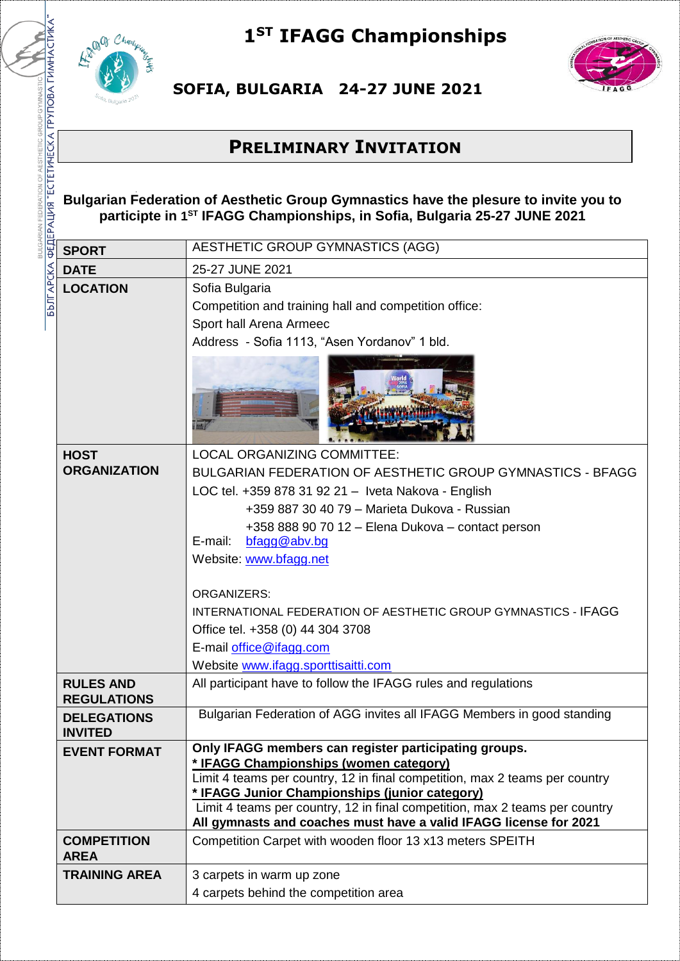

## **1ST IFAGG Championships**



**SOFIA, BULGARIA 24-27 JUNE 2021** 

## **PRELIMINARY INVITATION**

**Bulgarian Federation of Aesthetic Group Gymnastics have the plesure to invite you to participte in 1 ST IFAGG Championships, in Sofia, Bulgaria 25-27 JUNE 2021**

| <b>SPORT</b>                           | AESTHETIC GROUP GYMNASTICS (AGG)                                                                                                                                                                                                                                                                                                                                                                                                                                                                                |
|----------------------------------------|-----------------------------------------------------------------------------------------------------------------------------------------------------------------------------------------------------------------------------------------------------------------------------------------------------------------------------------------------------------------------------------------------------------------------------------------------------------------------------------------------------------------|
| <b>DATE</b>                            | 25-27 JUNE 2021                                                                                                                                                                                                                                                                                                                                                                                                                                                                                                 |
| <b>LOCATION</b>                        | Sofia Bulgaria<br>Competition and training hall and competition office:<br>Sport hall Arena Armeec<br>Address - Sofia 1113, "Asen Yordanov" 1 bld.                                                                                                                                                                                                                                                                                                                                                              |
| <b>HOST</b><br><b>ORGANIZATION</b>     | <b>LOCAL ORGANIZING COMMITTEE:</b><br>BULGARIAN FEDERATION OF AESTHETIC GROUP GYMNASTICS - BFAGG<br>LOC tel. +359 878 31 92 21 - Iveta Nakova - English<br>+359 887 30 40 79 - Marieta Dukova - Russian<br>+358 888 90 70 12 - Elena Dukova - contact person<br>bfagg@abv.bg<br>E-mail:<br>Website: www.bfagg.net<br><b>ORGANIZERS:</b><br>INTERNATIONAL FEDERATION OF AESTHETIC GROUP GYMNASTICS - IFAGG<br>Office tel. +358 (0) 44 304 3708<br>E-mail office@ifagg.com<br>Website www.ifagg.sporttisaitti.com |
| <b>RULES AND</b><br><b>REGULATIONS</b> | All participant have to follow the IFAGG rules and regulations                                                                                                                                                                                                                                                                                                                                                                                                                                                  |
| <b>DELEGATIONS</b><br><b>INVITED</b>   | Bulgarian Federation of AGG invites all IFAGG Members in good standing                                                                                                                                                                                                                                                                                                                                                                                                                                          |
| <b>EVENT FORMAT</b>                    | Only IFAGG members can register participating groups.<br>* IFAGG Championships (women category)<br>Limit 4 teams per country, 12 in final competition, max 2 teams per country<br>* IFAGG Junior Championships (junior category)<br>Limit 4 teams per country, 12 in final competition, max 2 teams per country<br>All gymnasts and coaches must have a valid IFAGG license for 2021                                                                                                                            |
| <b>COMPETITION</b><br><b>AREA</b>      | Competition Carpet with wooden floor 13 x13 meters SPEITH                                                                                                                                                                                                                                                                                                                                                                                                                                                       |
| <b>TRAINING AREA</b>                   | 3 carpets in warm up zone<br>4 carpets behind the competition area                                                                                                                                                                                                                                                                                                                                                                                                                                              |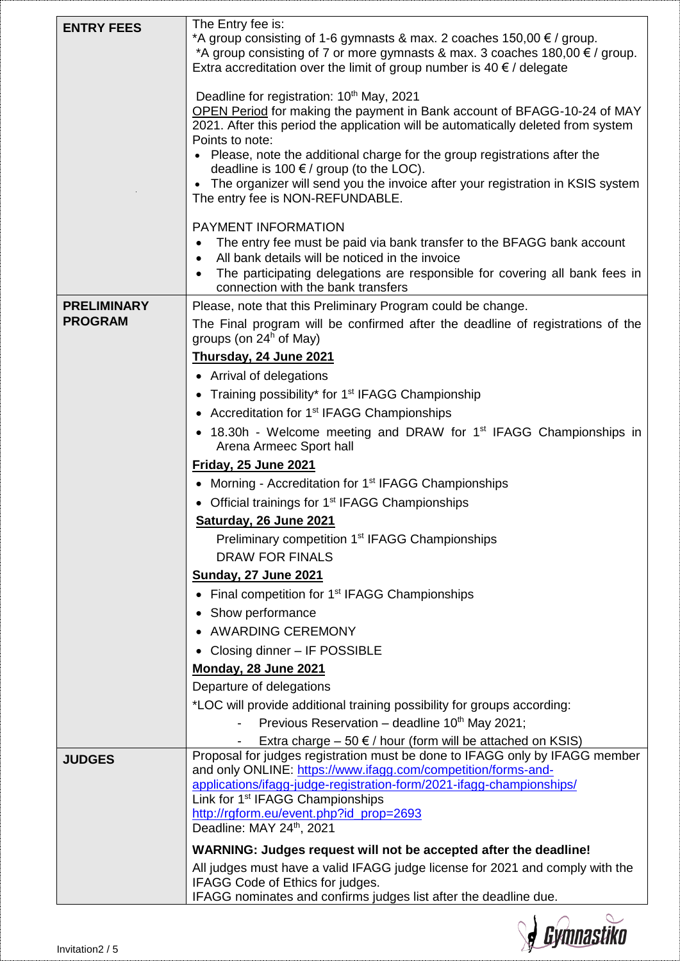| <b>ENTRY FEES</b>                    | The Entry fee is:<br>*A group consisting of 1-6 gymnasts & max. 2 coaches $150,00 \in \ell$ group.<br>*A group consisting of 7 or more gymnasts & max. 3 coaches $180,00 \in \ell$ group.<br>Extra accreditation over the limit of group number is 40 $\epsilon$ / delegate<br>Deadline for registration: 10 <sup>th</sup> May, 2021<br>OPEN Period for making the payment in Bank account of BFAGG-10-24 of MAY<br>2021. After this period the application will be automatically deleted from system<br>Points to note:<br>Please, note the additional charge for the group registrations after the<br>deadline is 100 $\epsilon$ / group (to the LOC).<br>The organizer will send you the invoice after your registration in KSIS system<br>The entry fee is NON-REFUNDABLE.<br>PAYMENT INFORMATION |
|--------------------------------------|-------------------------------------------------------------------------------------------------------------------------------------------------------------------------------------------------------------------------------------------------------------------------------------------------------------------------------------------------------------------------------------------------------------------------------------------------------------------------------------------------------------------------------------------------------------------------------------------------------------------------------------------------------------------------------------------------------------------------------------------------------------------------------------------------------|
|                                      | The entry fee must be paid via bank transfer to the BFAGG bank account<br>٠<br>All bank details will be noticed in the invoice<br>$\bullet$<br>The participating delegations are responsible for covering all bank fees in<br>connection with the bank transfers                                                                                                                                                                                                                                                                                                                                                                                                                                                                                                                                      |
| <b>PRELIMINARY</b><br><b>PROGRAM</b> | Please, note that this Preliminary Program could be change.<br>The Final program will be confirmed after the deadline of registrations of the<br>groups (on $24h$ of May)<br>Thursday, 24 June 2021<br>• Arrival of delegations<br>Training possibility* for 1 <sup>st</sup> IFAGG Championship<br>$\bullet$<br>• Accreditation for 1 <sup>st</sup> IFAGG Championships<br>18.30h - Welcome meeting and DRAW for 1 <sup>st</sup> IFAGG Championships in                                                                                                                                                                                                                                                                                                                                               |
|                                      | Arena Armeec Sport hall<br><b>Friday, 25 June 2021</b><br>Morning - Accreditation for 1 <sup>st</sup> IFAGG Championships<br>$\bullet$<br>• Official trainings for 1 <sup>st</sup> IFAGG Championships<br>Saturday, 26 June 2021<br>Preliminary competition 1 <sup>st</sup> IFAGG Championships<br><b>DRAW FOR FINALS</b><br><b>Sunday, 27 June 2021</b><br>• Final competition for 1 <sup>st</sup> IFAGG Championships                                                                                                                                                                                                                                                                                                                                                                               |
|                                      | • Show performance<br><b>AWARDING CEREMONY</b><br>Closing dinner - IF POSSIBLE<br>Monday, 28 June 2021<br>Departure of delegations<br>*LOC will provide additional training possibility for groups according:<br>Previous Reservation - deadline 10th May 2021;<br>Extra charge $-50 \notin /$ hour (form will be attached on KSIS)                                                                                                                                                                                                                                                                                                                                                                                                                                                                   |
| <b>JUDGES</b>                        | Proposal for judges registration must be done to IFAGG only by IFAGG member<br>and only ONLINE: https://www.ifagg.com/competition/forms-and-<br>applications/ifagg-judge-registration-form/2021-ifagg-championships/<br>Link for 1 <sup>st</sup> IFAGG Championships<br>http://rgform.eu/event.php?id_prop=2693<br>Deadline: MAY 24th, 2021<br>WARNING: Judges request will not be accepted after the deadline!<br>All judges must have a valid IFAGG judge license for 2021 and comply with the<br>IFAGG Code of Ethics for judges.                                                                                                                                                                                                                                                                  |
|                                      | IFAGG nominates and confirms judges list after the deadline due.                                                                                                                                                                                                                                                                                                                                                                                                                                                                                                                                                                                                                                                                                                                                      |

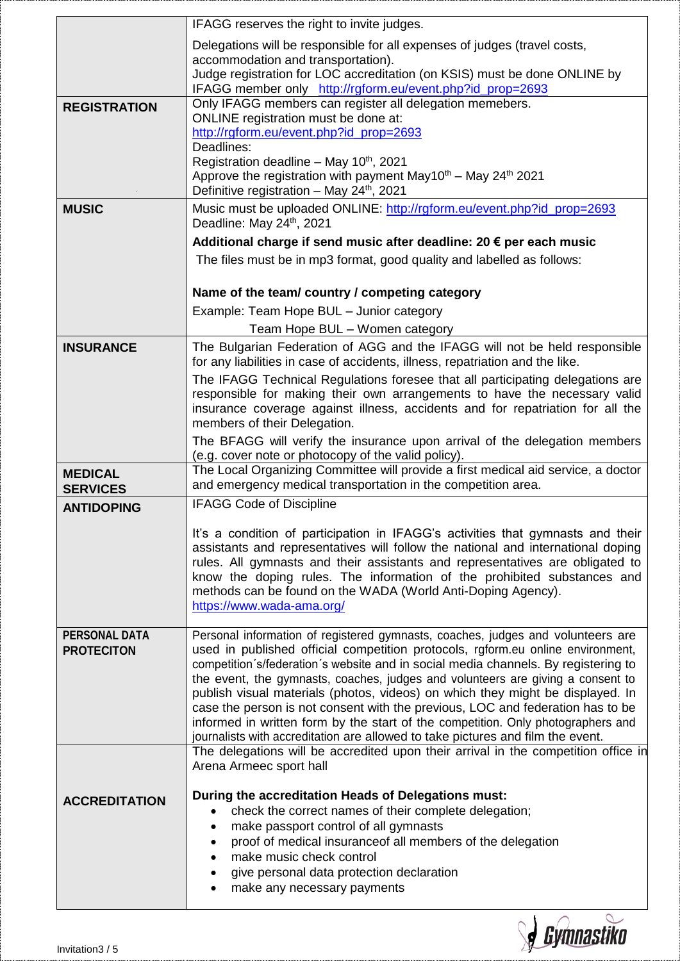|                                   | IFAGG reserves the right to invite judges.                                                                                                                                |  |
|-----------------------------------|---------------------------------------------------------------------------------------------------------------------------------------------------------------------------|--|
|                                   | Delegations will be responsible for all expenses of judges (travel costs,                                                                                                 |  |
|                                   | accommodation and transportation).<br>Judge registration for LOC accreditation (on KSIS) must be done ONLINE by                                                           |  |
|                                   | IFAGG member only http://rgform.eu/event.php?id_prop=2693                                                                                                                 |  |
| <b>REGISTRATION</b>               | Only IFAGG members can register all delegation memebers.                                                                                                                  |  |
|                                   | ONLINE registration must be done at:<br>http://rgform.eu/event.php?id_prop=2693                                                                                           |  |
|                                   | Deadlines:                                                                                                                                                                |  |
|                                   | Registration deadline – May $10^{th}$ , 2021<br>Approve the registration with payment May10 <sup>th</sup> – May 24 <sup>th</sup> 2021                                     |  |
|                                   | Definitive registration - May 24 <sup>th</sup> , 2021                                                                                                                     |  |
| <b>MUSIC</b>                      | Music must be uploaded ONLINE: http://rgform.eu/event.php?id_prop=2693<br>Deadline: May 24th, 2021<br>Additional charge if send music after deadline: 20 € per each music |  |
|                                   |                                                                                                                                                                           |  |
|                                   | The files must be in mp3 format, good quality and labelled as follows:                                                                                                    |  |
|                                   | Name of the team/ country / competing category                                                                                                                            |  |
|                                   | Example: Team Hope BUL - Junior category                                                                                                                                  |  |
|                                   | Team Hope BUL - Women category                                                                                                                                            |  |
| <b>INSURANCE</b>                  | The Bulgarian Federation of AGG and the IFAGG will not be held responsible<br>for any liabilities in case of accidents, illness, repatriation and the like.               |  |
|                                   | The IFAGG Technical Regulations foresee that all participating delegations are                                                                                            |  |
|                                   | responsible for making their own arrangements to have the necessary valid<br>insurance coverage against illness, accidents and for repatriation for all the               |  |
|                                   | members of their Delegation.                                                                                                                                              |  |
|                                   | The BFAGG will verify the insurance upon arrival of the delegation members                                                                                                |  |
|                                   | (e.g. cover note or photocopy of the valid policy).<br>The Local Organizing Committee will provide a first medical aid service, a doctor                                  |  |
| <b>MEDICAL</b><br><b>SERVICES</b> | and emergency medical transportation in the competition area.                                                                                                             |  |
| <b>ANTIDOPING</b>                 | <b>IFAGG Code of Discipline</b>                                                                                                                                           |  |
|                                   | It's a condition of participation in IFAGG's activities that gymnasts and their                                                                                           |  |
|                                   | assistants and representatives will follow the national and international doping                                                                                          |  |
|                                   | rules. All gymnasts and their assistants and representatives are obligated to                                                                                             |  |
|                                   | know the doping rules. The information of the prohibited substances and<br>methods can be found on the WADA (World Anti-Doping Agency).                                   |  |
|                                   | https://www.wada-ama.org/                                                                                                                                                 |  |
| <b>PERSONAL DATA</b>              | Personal information of registered gymnasts, coaches, judges and volunteers are                                                                                           |  |
| <b>PROTECITON</b>                 | used in published official competition protocols, rgform.eu online environment,                                                                                           |  |
|                                   | competition s/federation s website and in social media channels. By registering to                                                                                        |  |
|                                   | the event, the gymnasts, coaches, judges and volunteers are giving a consent to<br>publish visual materials (photos, videos) on which they might be displayed. In         |  |
|                                   | case the person is not consent with the previous, LOC and federation has to be                                                                                            |  |
|                                   | informed in written form by the start of the competition. Only photographers and                                                                                          |  |
|                                   | journalists with accreditation are allowed to take pictures and film the event.<br>The delegations will be accredited upon their arrival in the competition office in     |  |
|                                   | Arena Armeec sport hall                                                                                                                                                   |  |
| <b>ACCREDITATION</b>              | During the accreditation Heads of Delegations must:                                                                                                                       |  |
|                                   | check the correct names of their complete delegation;                                                                                                                     |  |
|                                   | make passport control of all gymnasts                                                                                                                                     |  |
|                                   | proof of medical insuranceof all members of the delegation<br>make music check control                                                                                    |  |
|                                   | give personal data protection declaration                                                                                                                                 |  |
|                                   | make any necessary payments                                                                                                                                               |  |

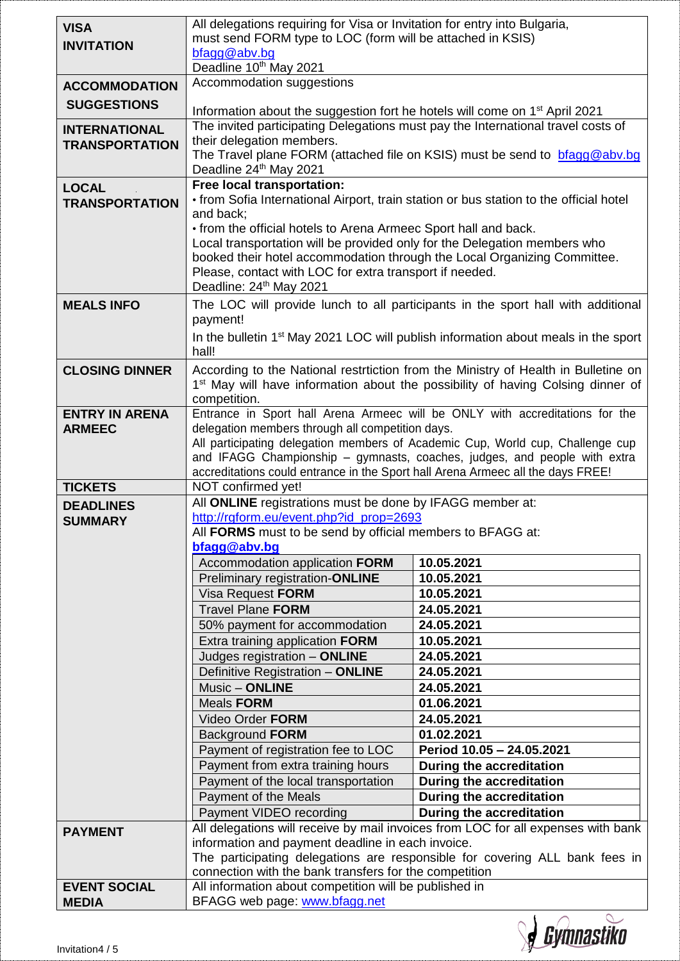| <b>VISA</b>           | All delegations requiring for Visa or Invitation for entry into Bulgaria,                                                                                                                   |                                                                                |  |  |
|-----------------------|---------------------------------------------------------------------------------------------------------------------------------------------------------------------------------------------|--------------------------------------------------------------------------------|--|--|
| <b>INVITATION</b>     | must send FORM type to LOC (form will be attached in KSIS)<br>bfagg@abv.bg                                                                                                                  |                                                                                |  |  |
|                       | Deadline 10th May 2021                                                                                                                                                                      |                                                                                |  |  |
| <b>ACCOMMODATION</b>  | Accommodation suggestions                                                                                                                                                                   |                                                                                |  |  |
|                       |                                                                                                                                                                                             |                                                                                |  |  |
| <b>SUGGESTIONS</b>    | Information about the suggestion fort he hotels will come on 1 <sup>st</sup> April 2021                                                                                                     |                                                                                |  |  |
| <b>INTERNATIONAL</b>  | The invited participating Delegations must pay the International travel costs of<br>their delegation members.<br>The Travel plane FORM (attached file on KSIS) must be send to bragg@abv.bg |                                                                                |  |  |
| <b>TRANSPORTATION</b> |                                                                                                                                                                                             |                                                                                |  |  |
|                       | Deadline 24th May 2021                                                                                                                                                                      |                                                                                |  |  |
| <b>LOCAL</b>          | Free local transportation:                                                                                                                                                                  |                                                                                |  |  |
| <b>TRANSPORTATION</b> | • from Sofia International Airport, train station or bus station to the official hotel                                                                                                      |                                                                                |  |  |
|                       | and back;                                                                                                                                                                                   |                                                                                |  |  |
|                       | • from the official hotels to Arena Armeec Sport hall and back.                                                                                                                             |                                                                                |  |  |
|                       | Local transportation will be provided only for the Delegation members who                                                                                                                   |                                                                                |  |  |
|                       | booked their hotel accommodation through the Local Organizing Committee.<br>Please, contact with LOC for extra transport if needed.                                                         |                                                                                |  |  |
|                       | Deadline: 24th May 2021                                                                                                                                                                     |                                                                                |  |  |
| <b>MEALS INFO</b>     |                                                                                                                                                                                             |                                                                                |  |  |
|                       | The LOC will provide lunch to all participants in the sport hall with additional<br>payment!                                                                                                |                                                                                |  |  |
|                       | In the bulletin 1 <sup>st</sup> May 2021 LOC will publish information about meals in the sport                                                                                              |                                                                                |  |  |
|                       | hall!                                                                                                                                                                                       |                                                                                |  |  |
| <b>CLOSING DINNER</b> | According to the National restrtiction from the Ministry of Health in Bulletine on                                                                                                          |                                                                                |  |  |
|                       | 1 <sup>st</sup> May will have information about the possibility of having Colsing dinner of                                                                                                 |                                                                                |  |  |
|                       | competition.                                                                                                                                                                                |                                                                                |  |  |
| <b>ENTRY IN ARENA</b> |                                                                                                                                                                                             | Entrance in Sport hall Arena Armeec will be ONLY with accreditations for the   |  |  |
| <b>ARMEEC</b>         | delegation members through all competition days.                                                                                                                                            | All participating delegation members of Academic Cup, World cup, Challenge cup |  |  |
|                       |                                                                                                                                                                                             | and IFAGG Championship - gymnasts, coaches, judges, and people with extra      |  |  |
|                       | accreditations could entrance in the Sport hall Arena Armeec all the days FREE!                                                                                                             |                                                                                |  |  |
| <b>TICKETS</b>        | NOT confirmed yet!                                                                                                                                                                          |                                                                                |  |  |
| <b>DEADLINES</b>      | All ONLINE registrations must be done by IFAGG member at:                                                                                                                                   |                                                                                |  |  |
| <b>SUMMARY</b>        | http://rgform.eu/event.php?id_prop=2693                                                                                                                                                     |                                                                                |  |  |
|                       | All FORMS must to be send by official members to BFAGG at:<br>bfagg@abv.bg                                                                                                                  |                                                                                |  |  |
|                       | Accommodation application FORM                                                                                                                                                              | 10.05.2021                                                                     |  |  |
|                       | Preliminary registration-ONLINE                                                                                                                                                             | 10.05.2021                                                                     |  |  |
|                       | Visa Request FORM                                                                                                                                                                           | 10.05.2021                                                                     |  |  |
|                       | <b>Travel Plane FORM</b>                                                                                                                                                                    | 24.05.2021                                                                     |  |  |
|                       | 50% payment for accommodation                                                                                                                                                               | 24.05.2021                                                                     |  |  |
|                       | Extra training application FORM                                                                                                                                                             | 10.05.2021                                                                     |  |  |
|                       | Judges registration - ONLINE                                                                                                                                                                | 24.05.2021                                                                     |  |  |
|                       | Definitive Registration - ONLINE                                                                                                                                                            | 24.05.2021                                                                     |  |  |
|                       | Music - ONLINE                                                                                                                                                                              | 24.05.2021                                                                     |  |  |
|                       | <b>Meals FORM</b>                                                                                                                                                                           | 01.06.2021                                                                     |  |  |
|                       | Video Order FORM<br><b>Background FORM</b>                                                                                                                                                  | 24.05.2021<br>01.02.2021                                                       |  |  |
|                       | Payment of registration fee to LOC                                                                                                                                                          | Period 10.05 - 24.05.2021                                                      |  |  |
|                       | Payment from extra training hours                                                                                                                                                           | <b>During the accreditation</b>                                                |  |  |
|                       | Payment of the local transportation                                                                                                                                                         | <b>During the accreditation</b>                                                |  |  |
|                       | Payment of the Meals                                                                                                                                                                        | During the accreditation                                                       |  |  |
|                       | Payment VIDEO recording                                                                                                                                                                     | During the accreditation                                                       |  |  |
| <b>PAYMENT</b>        | All delegations will receive by mail invoices from LOC for all expenses with bank                                                                                                           |                                                                                |  |  |
|                       | information and payment deadline in each invoice.                                                                                                                                           |                                                                                |  |  |
|                       | The participating delegations are responsible for covering ALL bank fees in<br>connection with the bank transfers for the competition                                                       |                                                                                |  |  |
| <b>EVENT SOCIAL</b>   | All information about competition will be published in                                                                                                                                      |                                                                                |  |  |
| <b>MEDIA</b>          | BFAGG web page: www.bfagg.net                                                                                                                                                               |                                                                                |  |  |